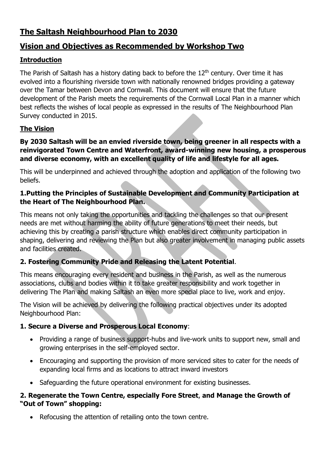# **The Saltash Neighbourhood Plan to 2030**

# **Vision and Objectives as Recommended by Workshop Two**

# **Introduction**

The Parish of Saltash has a history dating back to before the  $12<sup>th</sup>$  century. Over time it has evolved into a flourishing riverside town with nationally renowned bridges providing a gateway over the Tamar between Devon and Cornwall. This document will ensure that the future development of the Parish meets the requirements of the Cornwall Local Plan in a manner which best reflects the wishes of local people as expressed in the results of The Neighbourhood Plan Survey conducted in 2015.

# **The Vision**

#### **By 2030 Saltash will be an envied riverside town, being greener in all respects with a reinvigorated Town Centre and Waterfront, award-winning new housing, a prosperous and diverse economy, with an excellent quality of life and lifestyle for all ages.**

This will be underpinned and achieved through the adoption and application of the following two beliefs.

### **1.Putting the Principles of Sustainable Development and Community Participation at the Heart of The Neighbourhood Plan.**

This means not only taking the opportunities and tackling the challenges so that our present needs are met without harming the ability of future generations to meet their needs, but achieving this by creating a parish structure which enables direct community participation in shaping, delivering and reviewing the Plan but also greater involvement in managing public assets and facilities created.

# **2. Fostering Community Pride and Releasing the Latent Potential**.

This means encouraging every resident and business in the Parish, as well as the numerous associations, clubs and bodies within it to take greater responsibility and work together in delivering The Plan and making Saltash an even more special place to live, work and enjoy.

The Vision will be achieved by delivering the following practical objectives under its adopted Neighbourhood Plan:

# **1. Secure a Diverse and Prosperous Local Economy**:

- Providing a range of business support-hubs and live-work units to support new, small and growing enterprises in the self-employed sector.
- Encouraging and supporting the provision of more serviced sites to cater for the needs of expanding local firms and as locations to attract inward investors
- Safeguarding the future operational environment for existing businesses.

### **2. Regenerate the Town Centre, especially Fore Street**, **and Manage the Growth of "Out of Town" shopping:**

• Refocusing the attention of retailing onto the town centre.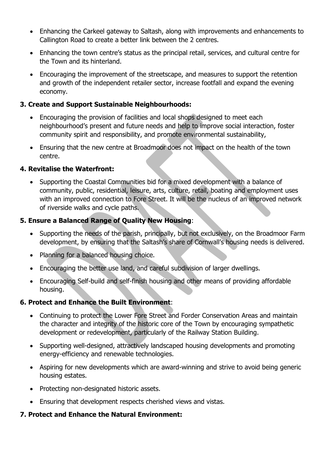- Enhancing the Carkeel gateway to Saltash, along with improvements and enhancements to Callington Road to create a better link between the 2 centres.
- Enhancing the town centre's status as the principal retail, services, and cultural centre for the Town and its hinterland.
- Encouraging the improvement of the streetscape, and measures to support the retention and growth of the independent retailer sector, increase footfall and expand the evening economy.

### **3. Create and Support Sustainable Neighbourhoods:**

- Encouraging the provision of facilities and local shops designed to meet each neighbourhood's present and future needs and help to improve social interaction, foster community spirit and responsibility, and promote environmental sustainability,
- Ensuring that the new centre at Broadmoor does not impact on the health of the town centre.

### **4. Revitalise the Waterfront:**

• Supporting the Coastal Communities bid for a mixed development with a balance of community, public, residential, leisure, arts, culture, retail, boating and employment uses with an improved connection to Fore Street. It will be the nucleus of an improved network of riverside walks and cycle paths.

### **5. Ensure a Balanced Range of Quality New Housing**:

- Supporting the needs of the parish, principally, but not exclusively, on the Broadmoor Farm development, by ensuring that the Saltash's share of Cornwall's housing needs is delivered.
- Planning for a balanced housing choice.
- Encouraging the better use land, and careful subdivision of larger dwellings.
- Encouraging Self-build and self-finish housing and other means of providing affordable housing.

#### **6. Protect and Enhance the Built Environment**:

- Continuing to protect the Lower Fore Street and Forder Conservation Areas and maintain the character and integrity of the historic core of the Town by encouraging sympathetic development or redevelopment, particularly of the Railway Station Building.
- Supporting well-designed, attractively landscaped housing developments and promoting energy-efficiency and renewable technologies.
- Aspiring for new developments which are award-winning and strive to avoid being generic housing estates.
- Protecting non-designated historic assets.
- Ensuring that development respects cherished views and vistas.

#### **7. Protect and Enhance the Natural Environment:**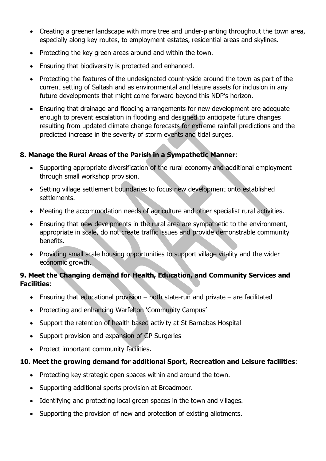- Creating a greener landscape with more tree and under-planting throughout the town area, especially along key routes, to employment estates, residential areas and skylines.
- Protecting the key green areas around and within the town.
- Ensuring that biodiversity is protected and enhanced.
- Protecting the features of the undesignated countryside around the town as part of the current setting of Saltash and as environmental and leisure assets for inclusion in any future developments that might come forward beyond this NDP's horizon.
- Ensuring that drainage and flooding arrangements for new development are adequate enough to prevent escalation in flooding and designed to anticipate future changes resulting from updated climate change forecasts for extreme rainfall predictions and the predicted increase in the severity of storm events and tidal surges.

### **8. Manage the Rural Areas of the Parish in a Sympathetic Manner**:

- Supporting appropriate diversification of the rural economy and additional employment through small workshop provision.
- Setting village settlement boundaries to focus new development onto established settlements.
- Meeting the accommodation needs of agriculture and other specialist rural activities.
- Ensuring that new develpments in the rural area are sympathetic to the environment, appropriate in scale, do not create traffic issues and provide demonstrable community benefits.
- Providing small scale housing opportunities to support village vitality and the wider economic growth.

### **9. Meet the Changing demand for Health, Education, and Community Services and Facilities**:

- $\bullet$  Ensuring that educational provision both state-run and private are facilitated
- Protecting and enhancing Warfelton 'Community Campus'
- Support the retention of health based activity at St Barnabas Hospital
- Support provision and expansion of GP Surgeries
- Protect important community facilities.

# **10. Meet the growing demand for additional Sport, Recreation and Leisure facilities**:

- Protecting key strategic open spaces within and around the town.
- Supporting additional sports provision at Broadmoor.
- Identifying and protecting local green spaces in the town and villages.
- Supporting the provision of new and protection of existing allotments.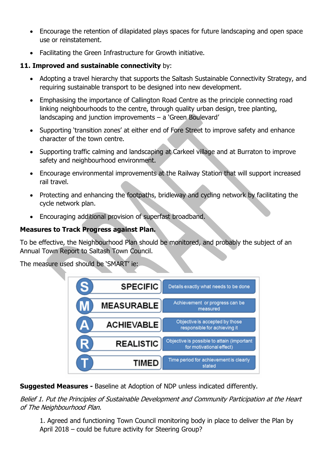- Encourage the retention of dilapidated plays spaces for future landscaping and open space use or reinstatement.
- Facilitating the Green Infrastructure for Growth initiative.

# **11. Improved and sustainable connectivity** by:

- Adopting a travel hierarchy that supports the Saltash Sustainable Connectivity Strategy, and requiring sustainable transport to be designed into new development.
- Emphasising the importance of Callington Road Centre as the principle connecting road linking neighbourhoods to the centre, through quality urban design, tree planting, landscaping and junction improvements – a 'Green Boulevard'
- Supporting 'transition zones' at either end of Fore Street to improve safety and enhance character of the town centre.
- Supporting traffic calming and landscaping at Carkeel village and at Burraton to improve safety and neighbourhood environment.
- Encourage environmental improvements at the Railway Station that will support increased rail travel.
- Protecting and enhancing the footpaths, bridleway and cycling network by facilitating the cycle network plan.
- Encouraging additional provision of superfast broadband.

### **Measures to Track Progress against Plan.**

To be effective, the Neighbourhood Plan should be monitored, and probably the subject of an Annual Town Report to Saltash Town Council.

The measure used should be 'SMART' ie:

| S | <b>SPECIFIC</b>   | Details exactly what needs to be done                                  |
|---|-------------------|------------------------------------------------------------------------|
|   | <b>MEASURABLE</b> | Achievement or progress can be<br>measured                             |
|   | <b>ACHIEVABLE</b> | Objective is accepted by those<br>responsible for achieving it         |
|   | <b>REALISTIC</b>  | Objective is possible to attain (important<br>for motivational effect) |
|   | <b>TIMED</b>      | Time period for achievement is clearly<br>stated                       |

**Suggested Measures -** Baseline at Adoption of NDP unless indicated differently.

Belief 1. Put the Principles of Sustainable Development and Community Participation at the Heart of The Neighbourhood Plan.

1. Agreed and functioning Town Council monitoring body in place to deliver the Plan by April 2018 – could be future activity for Steering Group?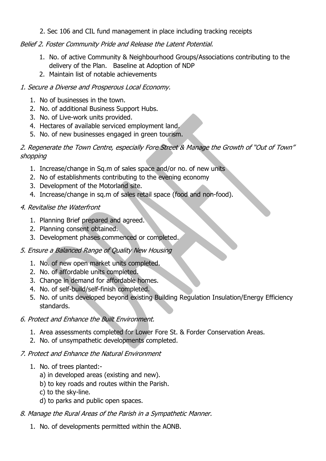2. Sec 106 and CIL fund management in place including tracking receipts

# Belief 2. Foster Community Pride and Release the Latent Potential.

- 1. No. of active Community & Neighbourhood Groups/Associations contributing to the delivery of the Plan. Baseline at Adoption of NDP
- 2. Maintain list of notable achievements

#### 1. Secure a Diverse and Prosperous Local Economy.

- 1. No of businesses in the town.
- 2. No. of additional Business Support Hubs.
- 3. No. of Live-work units provided.
- 4. Hectares of available serviced employment land.
- 5. No. of new businesses engaged in green tourism.

#### 2. Regenerate the Town Centre, especially Fore Street & Manage the Growth of "Out of Town" shopping

- 1. Increase/change in Sq.m of sales space and/or no. of new units
- 2. No of establishments contributing to the evening economy
- 3. Development of the Motorland site.
- 4. Increase/change in sq.m of sales retail space (food and non-food).

### 4. Revitalise the Waterfront

- 1. Planning Brief prepared and agreed.
- 2. Planning consent obtained.
- 3. Development phases commenced or completed.

# 5. Ensure a Balanced Range of Quality New Housing

- 1. No. of new open market units completed.
- 2. No. of affordable units completed.
- 3. Change in demand for affordable homes.
- 4. No. of self-build/self-finish completed.
- 5. No. of units developed beyond existing Building Regulation Insulation/Energy Efficiency standards.

#### 6. Protect and Enhance the Built Environment.

- 1. Area assessments completed for Lower Fore St. & Forder Conservation Areas.
- 2. No. of unsympathetic developments completed.

#### 7. Protect and Enhance the Natural Environment

- 1. No. of trees planted:
	- a) in developed areas (existing and new).
	- b) to key roads and routes within the Parish.
	- c) to the sky-line.
	- d) to parks and public open spaces.
- 8. Manage the Rural Areas of the Parish in a Sympathetic Manner.
	- 1. No. of developments permitted within the AONB.